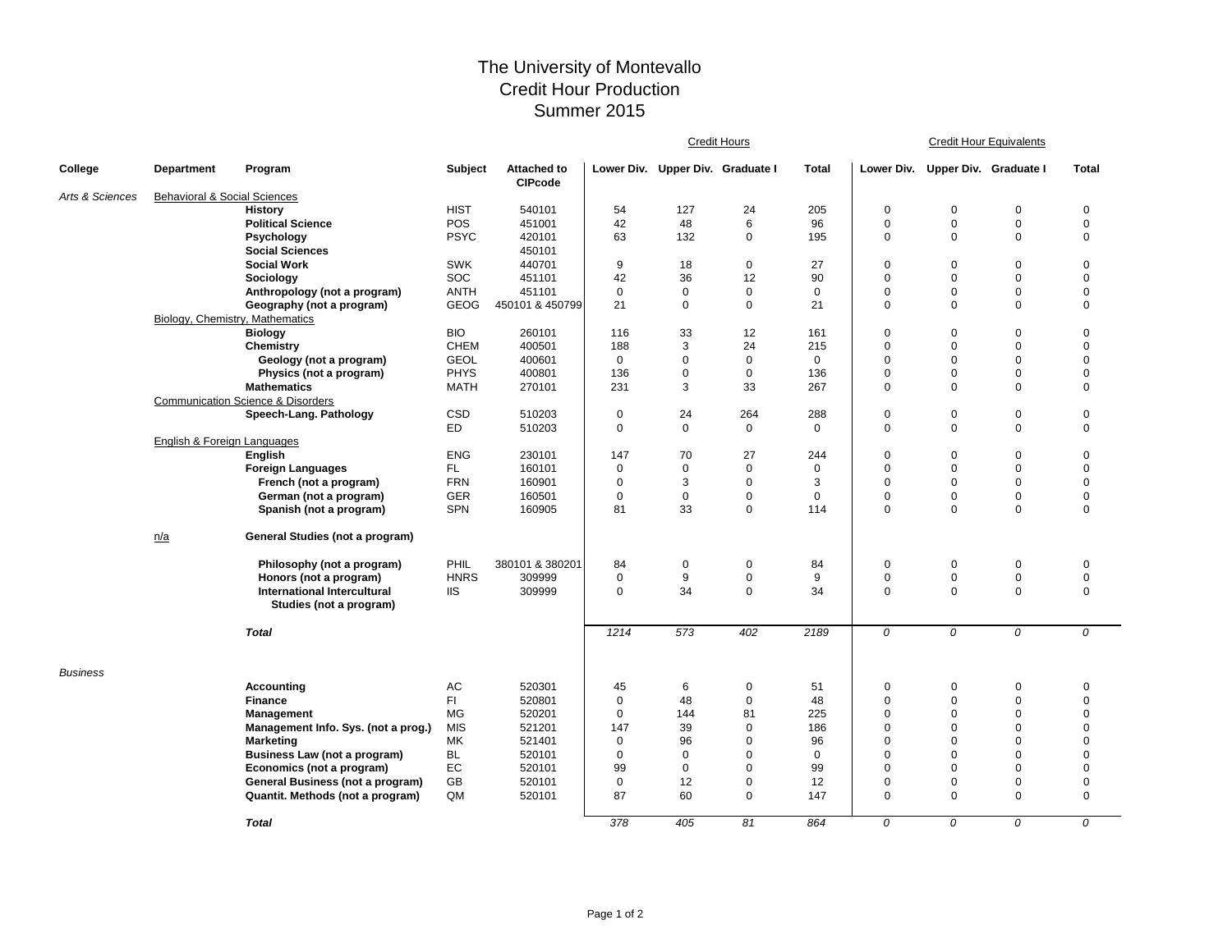## The University of Montevallo Credit Hour Production Summer 2015

|                 |                                         |                                                   |                |                                      | Credit Hours |                                  |                   |              | <b>Credit Hour Equivalents</b> |                                  |             |              |  |
|-----------------|-----------------------------------------|---------------------------------------------------|----------------|--------------------------------------|--------------|----------------------------------|-------------------|--------------|--------------------------------|----------------------------------|-------------|--------------|--|
| College         | <b>Department</b>                       | Program                                           | <b>Subject</b> | <b>Attached to</b><br><b>CIPcode</b> |              | Lower Div. Upper Div. Graduate I |                   | <b>Total</b> |                                | Lower Div. Upper Div. Graduate I |             | <b>Total</b> |  |
| Arts & Sciences | <b>Behavioral &amp; Social Sciences</b> |                                                   |                |                                      |              |                                  |                   |              |                                |                                  |             |              |  |
|                 |                                         | <b>History</b>                                    | <b>HIST</b>    | 540101                               | 54           | 127                              | 24                | 205          | $\mathbf 0$                    | 0                                | $\mathbf 0$ | 0            |  |
|                 |                                         | <b>Political Science</b>                          | <b>POS</b>     | 451001                               | 42           | 48                               | 6                 | 96           | $\mathbf 0$                    | $\mathbf 0$                      | $\mathbf 0$ | $\mathbf 0$  |  |
|                 |                                         | Psychology                                        | <b>PSYC</b>    | 420101                               | 63           | 132                              | $\mathbf 0$       | 195          | $\mathbf 0$                    | $\Omega$                         | $\mathbf 0$ | $\mathbf 0$  |  |
|                 |                                         | <b>Social Sciences</b>                            |                | 450101                               |              |                                  |                   |              |                                |                                  |             |              |  |
|                 |                                         | <b>Social Work</b>                                | <b>SWK</b>     | 440701                               | 9            | 18                               | $\mathsf 0$       | 27           | $\mathbf 0$                    | $\Omega$                         | $\mathbf 0$ | $\pmb{0}$    |  |
|                 |                                         | Sociology                                         | SOC            | 451101                               | 42           | 36                               | 12                | 90           | $\mathbf 0$                    | $\mathbf 0$                      | $\mathbf 0$ | $\mathbf 0$  |  |
|                 |                                         | Anthropology (not a program)                      | <b>ANTH</b>    | 451101                               | $\mathbf 0$  | 0                                | $\mathbf 0$       | 0            | $\mathbf 0$                    | $\mathbf 0$                      | $\mathbf 0$ | $\mathbf 0$  |  |
|                 |                                         | Geography (not a program)                         | <b>GEOG</b>    | 450101 & 450799                      | 21           | $\mathbf 0$                      | $\mathbf 0$       | 21           | $\mathbf 0$                    | $\Omega$                         | $\mathbf 0$ | $\mathbf 0$  |  |
|                 | Biology, Chemistry, Mathematics         |                                                   |                |                                      |              |                                  |                   |              |                                |                                  |             |              |  |
|                 |                                         | <b>Biology</b>                                    | <b>BIO</b>     | 260101                               | 116          | 33                               | 12                | 161          | $\mathbf 0$                    | $\mathbf 0$                      | $\mathbf 0$ | $\mathbf 0$  |  |
|                 |                                         | Chemistry                                         | <b>CHEM</b>    | 400501                               | 188          | 3                                | 24                | 215          | $\pmb{0}$                      | $\pmb{0}$                        | $\mathbf 0$ | $\pmb{0}$    |  |
|                 |                                         | Geology (not a program)                           | <b>GEOL</b>    | 400601                               | $\mathbf 0$  | 0                                | $\mathbf 0$       | 0            | 0                              | $\pmb{0}$                        | $\mathbf 0$ | $\mathbf 0$  |  |
|                 |                                         | Physics (not a program)                           | PHYS           | 400801                               | 136          | $\mathbf 0$                      | $\mathbf 0$       | 136          | $\pmb{0}$                      | $\mathbf 0$                      | $\mathbf 0$ | $\pmb{0}$    |  |
|                 |                                         | <b>Mathematics</b>                                | <b>MATH</b>    | 270101                               | 231          | 3                                | 33                | 267          | $\mathbf 0$                    | $\Omega$                         | $\mathbf 0$ | $\mathbf 0$  |  |
|                 |                                         | <b>Communication Science &amp; Disorders</b>      |                |                                      |              |                                  |                   |              |                                |                                  |             |              |  |
|                 |                                         | Speech-Lang. Pathology                            | <b>CSD</b>     | 510203                               | $\mathbf 0$  | 24                               | 264               | 288          | $\mathbf 0$                    | $\mathbf 0$                      | $\pmb{0}$   | $\pmb{0}$    |  |
|                 |                                         |                                                   | ED             | 510203                               | $\mathbf 0$  | 0                                | $\mathbf 0$       | 0            | $\mathbf 0$                    | $\mathbf 0$                      | $\mathbf 0$ | $\mathbf 0$  |  |
|                 | English & Foreign Languages             | <b>English</b>                                    | <b>ENG</b>     |                                      | 147          | 70                               |                   | 244          | $\mathbf 0$                    | $\mathbf 0$                      | $\mathbf 0$ | $\mathbf 0$  |  |
|                 |                                         | <b>Foreign Languages</b>                          | FL.            | 230101<br>160101                     | $\mathbf 0$  | $\mathbf 0$                      | 27<br>$\mathbf 0$ | $\mathbf 0$  | $\mathbf 0$                    | $\mathbf 0$                      | $\mathbf 0$ | $\mathbf 0$  |  |
|                 |                                         | French (not a program)                            | <b>FRN</b>     | 160901                               | $\mathbf 0$  | 3                                | $\mathbf 0$       | 3            | $\pmb{0}$                      | $\Omega$                         | $\mathbf 0$ | $\pmb{0}$    |  |
|                 |                                         |                                                   | <b>GER</b>     | 160501                               | $\pmb{0}$    | $\pmb{0}$                        | 0                 | $\mathbf 0$  | $\pmb{0}$                      | $\overline{0}$                   | $\pmb{0}$   | $\pmb{0}$    |  |
|                 |                                         | German (not a program)<br>Spanish (not a program) | <b>SPN</b>     | 160905                               | 81           | 33                               | $\mathbf 0$       | 114          | $\mathbf 0$                    | $\mathbf 0$                      | $\mathbf 0$ | $\mathbf 0$  |  |
|                 |                                         |                                                   |                |                                      |              |                                  |                   |              |                                |                                  |             |              |  |
|                 | n/a                                     | General Studies (not a program)                   |                |                                      |              |                                  |                   |              |                                |                                  |             |              |  |
|                 |                                         | Philosophy (not a program)                        | PHIL           | 380101 & 380201                      | 84           | $\mathbf 0$                      | $\mathbf 0$       | 84           | $\mathbf 0$                    | $\mathbf 0$                      | $\mathbf 0$ | 0            |  |
|                 |                                         | Honors (not a program)                            | <b>HNRS</b>    | 309999                               | $\mathbf 0$  | 9                                | 0                 | 9            | $\pmb{0}$                      | $\pmb{0}$                        | $\pmb{0}$   | $\pmb{0}$    |  |
|                 |                                         | <b>International Intercultural</b>                | <b>IIS</b>     | 309999                               | $\mathbf 0$  | 34                               | $\mathbf 0$       | 34           | $\mathbf 0$                    | $\mathbf 0$                      | $\mathbf 0$ | $\mathbf 0$  |  |
|                 |                                         | Studies (not a program)                           |                |                                      |              |                                  |                   |              |                                |                                  |             |              |  |
|                 |                                         | <b>Total</b>                                      |                |                                      | 1214         | 573                              | 402               | 2189         | 0                              | 0                                | 0           | 0            |  |
| <b>Business</b> |                                         |                                                   |                |                                      |              |                                  |                   |              |                                |                                  |             |              |  |
|                 |                                         | <b>Accounting</b>                                 | AC             | 520301                               | 45           | 6                                | $\mathbf 0$       | 51           | $\mathbf 0$                    | $\mathbf 0$                      | $\mathbf 0$ | $\mathbf 0$  |  |
|                 |                                         | <b>Finance</b>                                    | FI.            | 520801                               | $\mathbf 0$  | 48                               | $\pmb{0}$         | 48           | $\pmb{0}$                      | $\mathbf 0$                      | $\mathbf 0$ | $\mathbf 0$  |  |
|                 |                                         | Management                                        | MG             | 520201                               | $\mathbf 0$  | 144                              | 81                | 225          | $\mathbf 0$                    | $\Omega$                         | $\mathbf 0$ | $\mathbf 0$  |  |
|                 |                                         | Management Info. Sys. (not a prog.)               | <b>MIS</b>     | 521201                               | 147          | 39                               | $\mathbf 0$       | 186          | $\mathbf 0$                    | $\Omega$                         | $\mathbf 0$ | $\mathbf 0$  |  |
|                 |                                         | <b>Marketing</b>                                  | МK             | 521401                               | $\mathbf 0$  | 96                               | $\mathbf 0$       | 96           | $\mathbf 0$                    | $\Omega$                         | $\mathbf 0$ | $\mathbf 0$  |  |
|                 |                                         | Business Law (not a program)                      | <b>BL</b>      | 520101                               | $\mathbf 0$  | $\Omega$                         | $\Omega$          | $\Omega$     | $\mathbf 0$                    | $\Omega$                         | $\mathbf 0$ | $\mathbf 0$  |  |
|                 |                                         | Economics (not a program)                         | EC             | 520101                               | 99           | $\mathbf 0$                      | $\mathbf 0$       | 99           | $\mathbf 0$                    | $\Omega$                         | $\mathbf 0$ | $\mathbf 0$  |  |
|                 |                                         | General Business (not a program)                  | GB             | 520101                               | $\mathbf 0$  | 12                               | $\mathbf 0$       | 12           | 0                              | $\mathbf 0$                      | $\mathbf 0$ | $\mathbf 0$  |  |
|                 |                                         | Quantit. Methods (not a program)                  | QM             | 520101                               | 87           | 60                               | $\mathbf 0$       | 147          | $\mathbf 0$                    | $\Omega$                         | $\mathbf 0$ | $\mathbf 0$  |  |
|                 |                                         | <b>Total</b>                                      |                |                                      | 378          | 405                              | 81                | 864          | 0                              | 0                                | 0           | 0            |  |